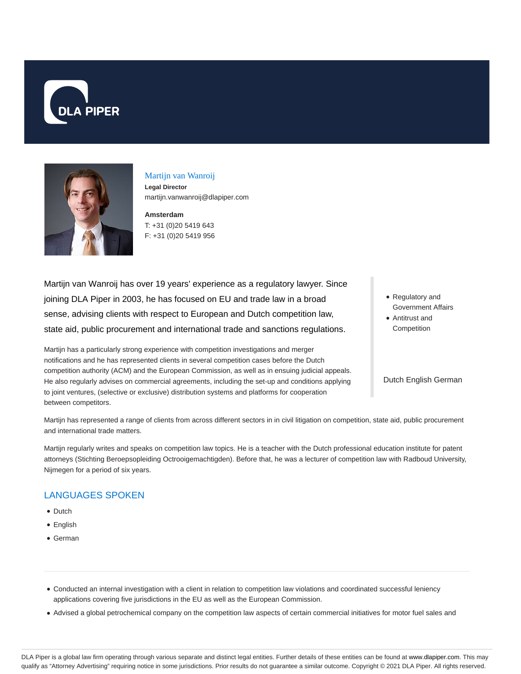



### Martijn van Wanroij

**Legal Director** martijn.vanwanroij@dlapiper.com

**Amsterdam** T: +31 (0)20 5419 643 F: +31 (0)20 5419 956

Martijn van Wanroij has over 19 years' experience as a regulatory lawyer. Since joining DLA Piper in 2003, he has focused on EU and trade law in a broad sense, advising clients with respect to European and Dutch competition law, state aid, public procurement and international trade and sanctions regulations.

Martijn has a particularly strong experience with competition investigations and merger notifications and he has represented clients in several competition cases before the Dutch competition authority (ACM) and the European Commission, as well as in ensuing judicial appeals. He also regularly advises on commercial agreements, including the set-up and conditions applying to joint ventures, (selective or exclusive) distribution systems and platforms for cooperation between competitors.

- Regulatory and Government Affairs
- Antitrust and **Competition**

Dutch English German

Martijn has represented a range of clients from across different sectors in in civil litigation on competition, state aid, public procurement and international trade matters.

Martijn regularly writes and speaks on competition law topics. He is a teacher with the Dutch professional education institute for patent attorneys (Stichting Beroepsopleiding Octrooigemachtigden). Before that, he was a lecturer of competition law with Radboud University, Nijmegen for a period of six years.

## LANGUAGES SPOKEN

- Dutch
- English
- German
- Conducted an internal investigation with a client in relation to competition law violations and coordinated successful leniency applications covering five jurisdictions in the EU as well as the European Commission.
- Advised a global petrochemical company on the competition law aspects of certain commercial initiatives for motor fuel sales and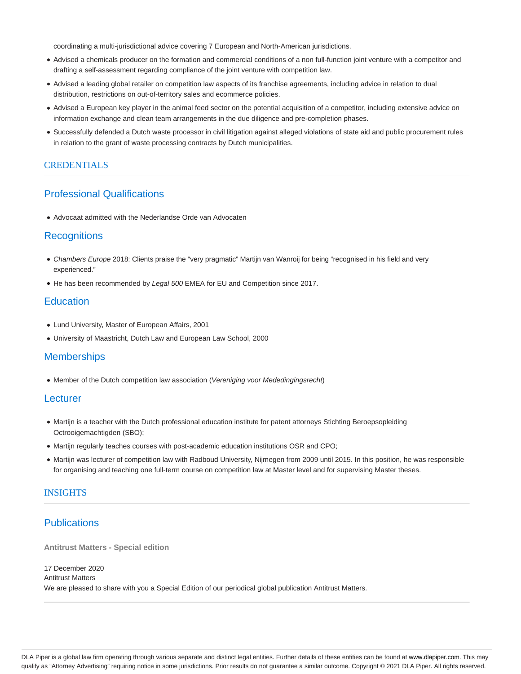coordinating a multi-jurisdictional advice covering 7 European and North-American jurisdictions.

- Advised a chemicals producer on the formation and commercial conditions of a non full-function joint venture with a competitor and drafting a self-assessment regarding compliance of the joint venture with competition law.
- Advised a leading global retailer on competition law aspects of its franchise agreements, including advice in relation to dual distribution, restrictions on out-of-territory sales and ecommerce policies.
- Advised a European key player in the animal feed sector on the potential acquisition of a competitor, including extensive advice on information exchange and clean team arrangements in the due diligence and pre-completion phases.
- Successfully defended a Dutch waste processor in civil litigation against alleged violations of state aid and public procurement rules in relation to the grant of waste processing contracts by Dutch municipalities.

#### **CREDENTIALS**

# Professional Qualifications

Advocaat admitted with the Nederlandse Orde van Advocaten

## **Recognitions**

- Chambers Europe 2018: Clients praise the "very pragmatic" Martijn van Wanroij for being "recognised in his field and very experienced."
- He has been recommended by Legal 500 EMEA for EU and Competition since 2017.

## **Education**

- Lund University, Master of European Affairs, 2001
- University of Maastricht, Dutch Law and European Law School, 2000

## **Memberships**

• Member of the Dutch competition law association (Vereniging voor Mededingingsrecht)

#### **Lecturer**

- Martijn is a teacher with the Dutch professional education institute for patent attorneys Stichting Beroepsopleiding Octrooigemachtigden (SBO);
- Martijn regularly teaches courses with post-academic education institutions OSR and CPO;
- Martijn was lecturer of competition law with Radboud University, Nijmegen from 2009 until 2015. In this position, he was responsible for organising and teaching one full-term course on competition law at Master level and for supervising Master theses.

### **INSIGHTS**

## **Publications**

**Antitrust Matters - Special edition**

17 December 2020 Antitrust Matters We are pleased to share with you a Special Edition of our periodical global publication Antitrust Matters.